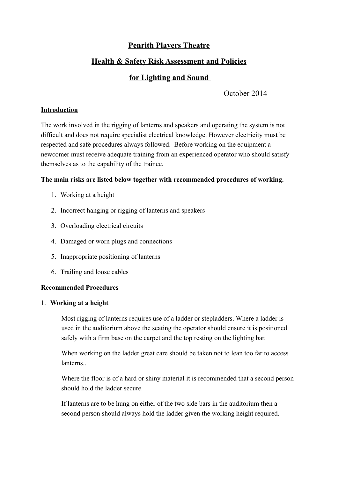## **Penrith Players Theatre**

## **Health & Safety Risk Assessment and Policies**

# **for Lighting and Sound**

October 2014

## **Introduction**

The work involved in the rigging of lanterns and speakers and operating the system is not difficult and does not require specialist electrical knowledge. However electricity must be respected and safe procedures always followed. Before working on the equipment a newcomer must receive adequate training from an experienced operator who should satisfy themselves as to the capability of the trainee.

## **The main risks are listed below together with recommended procedures of working.**

- 1. Working at a height
- 2. Incorrect hanging or rigging of lanterns and speakers
- 3. Overloading electrical circuits
- 4. Damaged or worn plugs and connections
- 5. Inappropriate positioning of lanterns
- 6. Trailing and loose cables

## **Recommended Procedures**

## 1. **Working at a height**

Most rigging of lanterns requires use of a ladder or stepladders. Where a ladder is used in the auditorium above the seating the operator should ensure it is positioned safely with a firm base on the carpet and the top resting on the lighting bar.

When working on the ladder great care should be taken not to lean too far to access lanterns..

Where the floor is of a hard or shiny material it is recommended that a second person should hold the ladder secure.

If lanterns are to be hung on either of the two side bars in the auditorium then a second person should always hold the ladder given the working height required.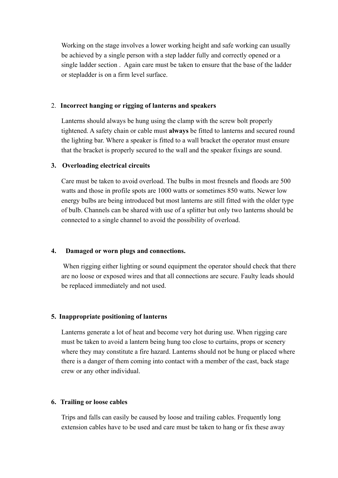Working on the stage involves a lower working height and safe working can usually be achieved by a single person with a step ladder fully and correctly opened or a single ladder section . Again care must be taken to ensure that the base of the ladder or stepladder is on a firm level surface.

### 2. **Incorrect hanging or rigging of lanterns and speakers**

Lanterns should always be hung using the clamp with the screw bolt properly tightened. A safety chain or cable must **always** be fitted to lanterns and secured round the lighting bar. Where a speaker is fitted to a wall bracket the operator must ensure that the bracket is properly secured to the wall and the speaker fixings are sound.

#### **3. Overloading electrical circuits**

Care must be taken to avoid overload. The bulbs in most fresnels and floods are 500 watts and those in profile spots are 1000 watts or sometimes 850 watts. Newer low energy bulbs are being introduced but most lanterns are still fitted with the older type of bulb. Channels can be shared with use of a splitter but only two lanterns should be connected to a single channel to avoid the possibility of overload.

### **4. Damaged or worn plugs and connections.**

When rigging either lighting or sound equipment the operator should check that there are no loose or exposed wires and that all connections are secure. Faulty leads should be replaced immediately and not used.

#### **5. Inappropriate positioning of lanterns**

Lanterns generate a lot of heat and become very hot during use. When rigging care must be taken to avoid a lantern being hung too close to curtains, props or scenery where they may constitute a fire hazard. Lanterns should not be hung or placed where there is a danger of them coming into contact with a member of the cast, back stage crew or any other individual.

### **6. Trailing or loose cables**

Trips and falls can easily be caused by loose and trailing cables. Frequently long extension cables have to be used and care must be taken to hang or fix these away